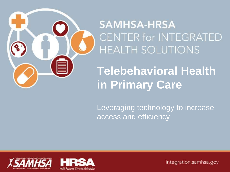

**SAMHSA-HRSA** CENTER for INTEGRATED **HEALTH SOLUTIONS** 

**Telebehavioral Health in Primary Care**

Leveraging technology to increase access and efficiency

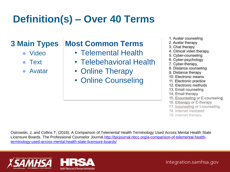# **Definition(s) – Over 40 Terms**

### **3 Main Types**

- Video
- **Text**
- **Avatar**

### **Most Common Terms**

- Telemental Health
- Telebehavioral Health
- Online Therapy
- Online Counseling
- 1. Avatar counseling
- 2. Avatar therapy
- 3. Chat therapy
- 4. Clinical video therapy,
- 5. Cyber-counseling
- 6. Cyber-psychology
- 7. Cyber-therapy,
- 8. Distance counseling
- 9. Distance therapy
- 10. Electronic means
- 11. Electronic practice
- 12. Electronic methods
- 13. Email counseling
- 14. Email therapy
- 15. Ecounseling or E-counseling
- 16. Etherapy or E-therapy
- 17. Icounseling or I-counseling,
- 18. Internet mediated
- 19. Internet therapy.

Ostrowski, J, and Collins T, (2016). A Comparison of Telemental Health Terminology Used Across Mental Health State [Licensure Boards. The Professional Counselor Journal.http://tpcjournal.nbcc.org/a-comparison-of-telemental-health](http://tpcjournal.nbcc.org/a-comparison-of-telemental-health-terminology-used-across-mental-health-state-licensure-boards/)terminology-used-across-mental-health-state-licensure-boards/

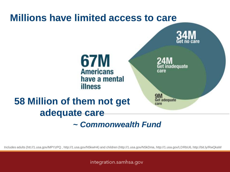

Includes adults (htt://1.usa.gov/MPYzPQ , http://1.usa.gov/N5kwH4) and children (http://1.usa.gov/N5kDma, http://1.usa.gov/LDRbU6, http://bit.ly/RwQkaW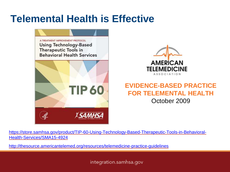### **Telemental Health is Effective**



[https://store.samhsa.gov/product/TIP-60-Using-Technology-Based-Therapeutic-Tools-in-Behavioral-](https://store.samhsa.gov/product/TIP-60-Using-Technology-Based-Therapeutic-Tools-in-Behavioral-Health-Services/SMA15-4924)Health-Services/SMA15-4924

<http://thesource.americantelemed.org/resources/telemedicine-practice-guidelines>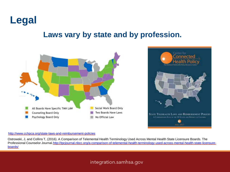

#### **Laws vary by state and by profession.**



#### <http://www.cchpca.org/state-laws-and-reimbursement-policies>

Ostrowski, J, and Collins T, (2016). A Comparison of Telemental Health Terminology Used Across Mental Health State Licensure Boards. The [Professional Counselor Journal.http://tpcjournal.nbcc.org/a-comparison-of-telemental-health-terminology-used-across-mental-health-state-licensure](http://tpcjournal.nbcc.org/a-comparison-of-telemental-health-terminology-used-across-mental-health-state-licensure-boards/)boards/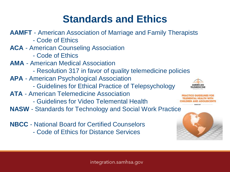## **Standards and Ethics**

**AAMFT** - American Association of Marriage and Family Therapists - Code of Ethics **ACA** - American Counseling Association - Code of Ethics **AMA** - American Medical Association - Resolution 317 in favor of quality telemedicine policies **APA** - American Psychological Association - Guidelines for Ethical Practice of Telepsychology **ATA** - American Telemedicine Association - Guidelines for Video Telemental Health **NASW** - Standards for Technology and Social Work Practice **NBCC** - National Board for Certified Counselors

- Code of Ethics for Distance Services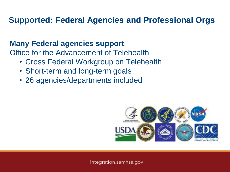### **Supported: Federal Agencies and Professional Orgs**

#### **Many Federal agencies support**

Office for the Advancement of Telehealth

- Cross Federal Workgroup on Telehealth
- Short-term and long-term goals
- 26 agencies/departments included

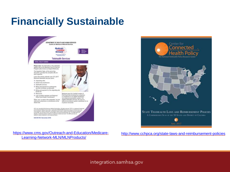## **Financially Sustainable**





[https://www.cms.gov/Outreach-and-Education/Medicare-](https://www.cms.gov/Outreach-and-Education/Medicare-Learning-Network-MLN/MLNProducts/)Learning-Network-MLN/MLNProducts/

#### <http://www.cchpca.org/state-laws-and-reimbursement-policies>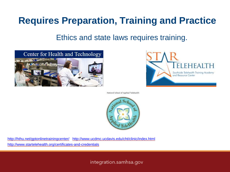### **Requires Preparation, Training and Practice**

Ethics and state laws requires training.





National School of Applied Telehealth



<http://hthu.net/gptonlinetrainingcenter/> <http://www.ucdmc.ucdavis.edu/cht/clinic/index.html> <http://www.startelehealth.org/certificates-and-credentials>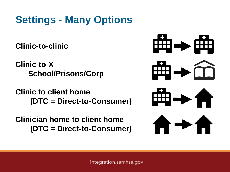## **Settings - Many Options**

**Clinic-to-clinic**

**Clinic-to-X School/Prisons/Corp**

**Clinic to client home (DTC = Direct-to-Consumer)**

**Clinician home to client home (DTC = Direct-to-Consumer)**

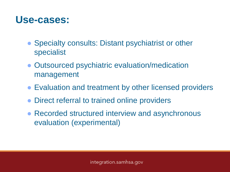### **Use-cases:**

- Specialty consults: Distant psychiatrist or other specialist
- Outsourced psychiatric evaluation/medication management
- Evaluation and treatment by other licensed providers
- Direct referral to trained online providers
- Recorded structured interview and asynchronous evaluation (experimental)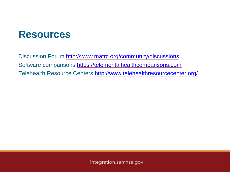### **Resources**

Discussion Forum<http://www.matrc.org/community/discussions> Software comparisons<https://telementalhealthcomparisons.com> Telehealth Resource Centers<http://www.telehealthresourcecenter.org/>